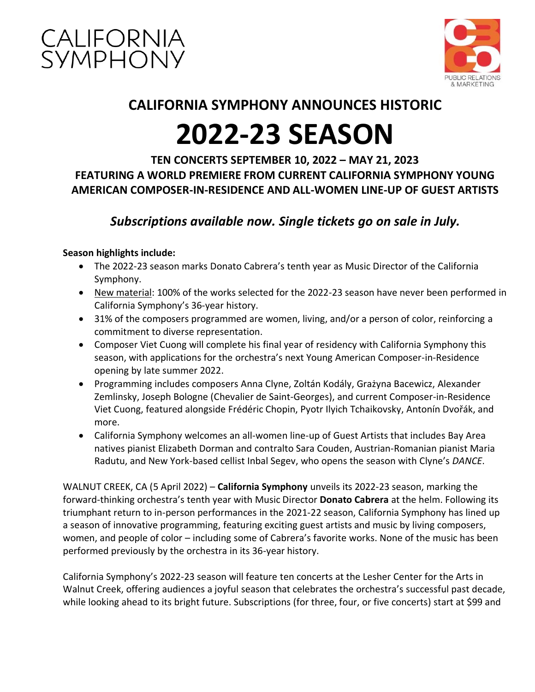



### **CALIFORNIA SYMPHONY ANNOUNCES HISTORIC**

# **2022-23 SEASON**

**TEN CONCERTS SEPTEMBER 10, 2022 – MAY 21, 2023 FEATURING A WORLD PREMIERE FROM CURRENT CALIFORNIA SYMPHONY YOUNG AMERICAN COMPOSER-IN-RESIDENCE AND ALL-WOMEN LINE-UP OF GUEST ARTISTS**

### *Subscriptions available now. Single tickets go on sale in July.*

#### **Season highlights include:**

- The 2022-23 season marks Donato Cabrera's tenth year as Music Director of the California Symphony.
- New material: 100% of the works selected for the 2022-23 season have never been performed in California Symphony's 36-year history.
- 31% of the composers programmed are women, living, and/or a person of color, reinforcing a commitment to diverse representation.
- Composer Viet Cuong will complete his final year of residency with California Symphony this season, with applications for the orchestra's next Young American Composer-in-Residence opening by late summer 2022.
- Programming includes composers Anna Clyne, Zoltán Kodály, Grażyna Bacewicz, Alexander Zemlinsky, Joseph Bologne (Chevalier de Saint-Georges), and current Composer-in-Residence Viet Cuong, featured alongside Frédéric Chopin, Pyotr Ilyich Tchaikovsky, Antonín Dvořák, and more.
- California Symphony welcomes an all-women line-up of Guest Artists that includes Bay Area natives pianist Elizabeth Dorman and contralto Sara Couden, Austrian-Romanian pianist Maria Radutu, and New York-based cellist Inbal Segev, who opens the season with Clyne's *DANCE*.

WALNUT CREEK, CA (5 April 2022) – **California Symphony** unveils its 2022-23 season, marking the forward-thinking orchestra's tenth year with Music Director **Donato Cabrera** at the helm. Following its triumphant return to in-person performances in the 2021-22 season, California Symphony has lined up a season of innovative programming, featuring exciting guest artists and music by living composers, women, and people of color – including some of Cabrera's favorite works. None of the music has been performed previously by the orchestra in its 36-year history.

California Symphony's 2022-23 season will feature ten concerts at the Lesher Center for the Arts in Walnut Creek, offering audiences a joyful season that celebrates the orchestra's successful past decade, while looking ahead to its bright future. Subscriptions (for three, four, or five concerts) start at \$99 and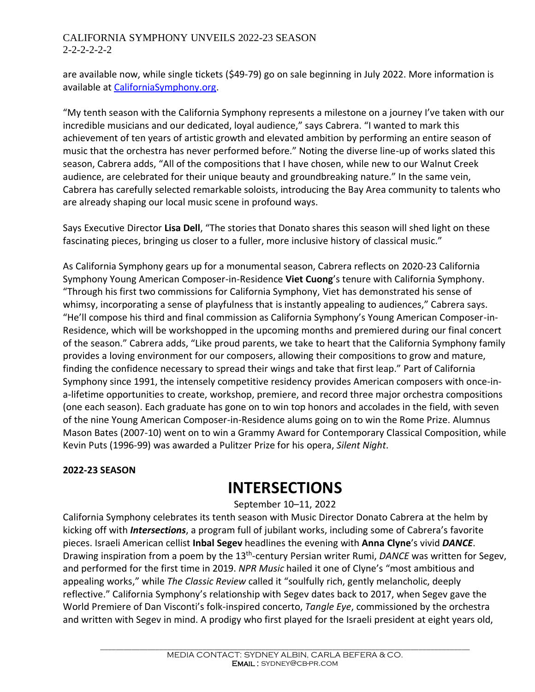#### CALIFORNIA SYMPHONY UNVEILS 2022-23 SEASON 2-2-2-2-2-2

are available now, while single tickets (\$49-79) go on sale beginning in July 2022. More information is available at [CaliforniaSymphony.org.](https://www.californiasymphony.org/)

"My tenth season with the California Symphony represents a milestone on a journey I've taken with our incredible musicians and our dedicated, loyal audience," says Cabrera. "I wanted to mark this achievement of ten years of artistic growth and elevated ambition by performing an entire season of music that the orchestra has never performed before." Noting the diverse line-up of works slated this season, Cabrera adds, "All of the compositions that I have chosen, while new to our Walnut Creek audience, are celebrated for their unique beauty and groundbreaking nature." In the same vein, Cabrera has carefully selected remarkable soloists, introducing the Bay Area community to talents who are already shaping our local music scene in profound ways.

Says Executive Director **Lisa Dell**, "The stories that Donato shares this season will shed light on these fascinating pieces, bringing us closer to a fuller, more inclusive history of classical music."

As California Symphony gears up for a monumental season, Cabrera reflects on 2020-23 California Symphony Young American Composer-in-Residence **Viet Cuong**'s tenure with California Symphony. "Through his first two commissions for California Symphony, Viet has demonstrated his sense of whimsy, incorporating a sense of playfulness that is instantly appealing to audiences," Cabrera says. "He'll compose his third and final commission as California Symphony's Young American Composer-in-Residence, which will be workshopped in the upcoming months and premiered during our final concert of the season." Cabrera adds, "Like proud parents, we take to heart that the California Symphony family provides a loving environment for our composers, allowing their compositions to grow and mature, finding the confidence necessary to spread their wings and take that first leap." Part of California Symphony since 1991, the intensely competitive residency provides American composers with once-ina-lifetime opportunities to create, workshop, premiere, and record three major orchestra compositions (one each season). Each graduate has gone on to win top honors and accolades in the field, with seven of the nine Young American Composer-in-Residence alums going on to win the Rome Prize. Alumnus Mason Bates (2007-10) went on to win a Grammy Award for Contemporary Classical Composition, while Kevin Puts (1996-99) was awarded a Pulitzer Prize for his opera, *Silent Night*.

#### **2022-23 SEASON**

# **INTERSECTIONS**

#### September 10–11, 2022

California Symphony celebrates its tenth season with Music Director Donato Cabrera at the helm by kicking off with *Intersections*, a program full of jubilant works, including some of Cabrera's favorite pieces. Israeli American cellist **Inbal Segev** headlines the evening with **Anna Clyne**'s vivid *DANCE*. Drawing inspiration from a poem by the 13<sup>th</sup>-century Persian writer Rumi, *DANCE* was written for Segev, and performed for the first time in 2019. *NPR Music* hailed it one of Clyne's "most ambitious and appealing works," while *The Classic Review* called it "soulfully rich, gently melancholic, deeply reflective." California Symphony's relationship with Segev dates back to 2017, when Segev gave the World Premiere of Dan Visconti's folk-inspired concerto, *Tangle Eye*, commissioned by the orchestra and written with Segev in mind. A prodigy who first played for the Israeli president at eight years old,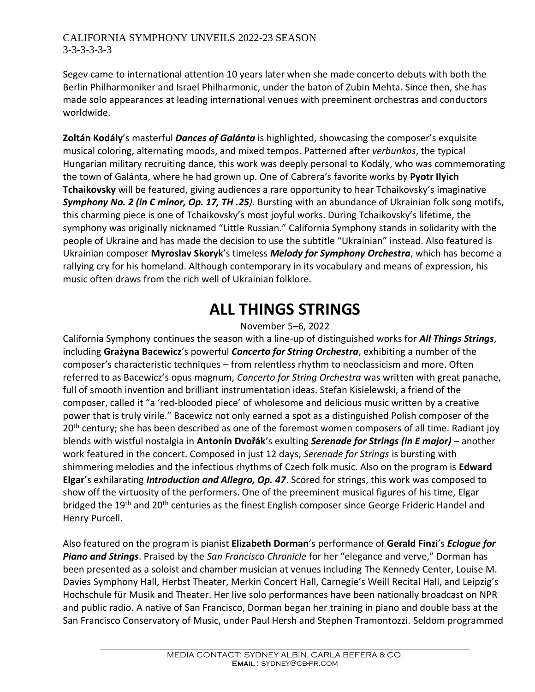#### CALIFORNIA SYMPHONY UNVEILS 2022-23 SEASON 3-3-3-3-3-3

Segev came to international attention 10 years later when she made concerto debuts with both the Berlin Philharmoniker and Israel Philharmonic, under the baton of Zubin Mehta. Since then, she has made solo appearances at leading international venues with preeminent orchestras and conductors worldwide.

**Zoltán Kodály**'s masterful *Dances of Galánta* is highlighted, showcasing the composer's exquisite musical coloring, alternating moods, and mixed tempos. Patterned after *verbunkos*, the typical Hungarian military recruiting dance, this work was deeply personal to Kodály, who was commemorating the town of Galánta, where he had grown up. One of Cabrera's favorite works by **Pyotr Ilyich Tchaikovsky** will be featured, giving audiences a rare opportunity to hear Tchaikovsky's imaginative *Symphony No. 2 (in C minor, Op. 17, TH .25)*. Bursting with an abundance of Ukrainian folk song motifs, this charming piece is one of Tchaikovsky's most joyful works. During Tchaikovsky's lifetime, the symphony was originally nicknamed "Little Russian." California Symphony stands in solidarity with the people of Ukraine and has made the decision to use the subtitle "Ukrainian" instead. Also featured is Ukrainian composer **Myroslav Skoryk**'s timeless *Melody for Symphony Orchestra*, which has become a rallying cry for his homeland. Although contemporary in its vocabulary and means of expression, his music often draws from the rich well of Ukrainian folklore.

# **ALL THINGS STRINGS**

#### November 5–6, 2022

California Symphony continues the season with a line-up of distinguished works for *All Things Strings*, including **Grażyna Bacewicz**'s powerful *Concerto for String Orchestra*, exhibiting a number of the composer's characteristic techniques – from relentless rhythm to neoclassicism and more. Often referred to as Bacewicz's opus magnum, *Concerto for String Orchestra* was written with great panache, full of smooth invention and brilliant instrumentation ideas. Stefan Kisielewski, a friend of the composer, called it "a 'red-blooded piece' of wholesome and delicious music written by a creative power that is truly virile." Bacewicz not only earned a spot as a distinguished Polish composer of the 20<sup>th</sup> century; she has been described as one of the foremost women composers of all time. Radiant joy blends with wistful nostalgia in **Antonín Dvořák**'s exulting *Serenade for Strings (in E major)* – another work featured in the concert. Composed in just 12 days, *Serenade for Strings* is bursting with shimmering melodies and the infectious rhythms of Czech folk music. Also on the program is **Edward Elgar**'s exhilarating *Introduction and Allegro, Op. 47*. Scored for strings, this work was composed to show off the virtuosity of the performers. One of the preeminent musical figures of his time, Elgar bridged the 19<sup>th</sup> and 20<sup>th</sup> centuries as the finest English composer since George Frideric Handel and Henry Purcell.

Also featured on the program is pianist **Elizabeth Dorman**'s performance of **Gerald Finzi**'s *Eclogue for Piano and Strings*. Praised by the *San Francisco Chronicle* for her "elegance and verve," Dorman has been presented as a soloist and chamber musician at venues including The Kennedy Center, Louise M. Davies Symphony Hall, Herbst Theater, Merkin Concert Hall, Carnegie's Weill Recital Hall, and Leipzig's Hochschule für Musik and Theater. Her live solo performances have been nationally broadcast on NPR and public radio. A native of San Francisco, Dorman began her training in piano and double bass at the San Francisco Conservatory of Music, under Paul Hersh and Stephen Tramontozzi. Seldom programmed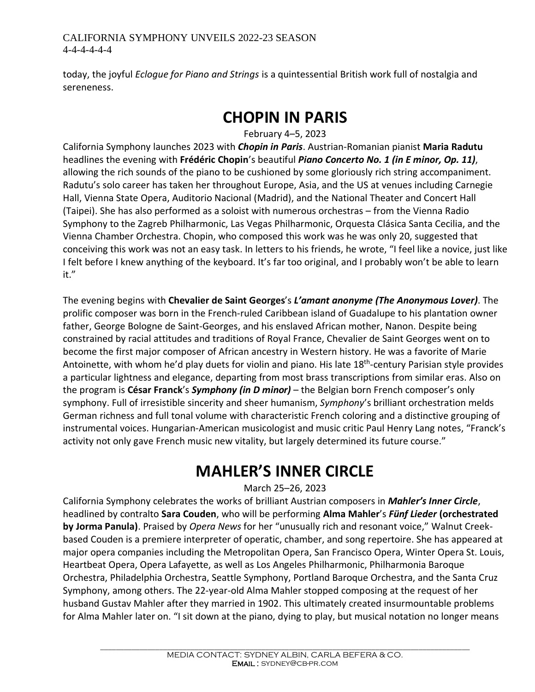today, the joyful *Eclogue for Piano and Strings* is a quintessential British work full of nostalgia and sereneness.

# **CHOPIN IN PARIS**

February 4–5, 2023

California Symphony launches 2023 with *Chopin in Paris*. Austrian-Romanian pianist **Maria Radutu** headlines the evening with **Frédéric Chopin**'s beautiful *Piano Concerto No. 1 (in E minor, Op. 11)*, allowing the rich sounds of the piano to be cushioned by some gloriously rich string accompaniment. Radutu's solo career has taken her throughout Europe, Asia, and the US at venues including Carnegie Hall, Vienna State Opera, Auditorio Nacional (Madrid), and the National Theater and Concert Hall (Taipei). She has also performed as a soloist with numerous orchestras – from the Vienna Radio Symphony to the Zagreb Philharmonic, Las Vegas Philharmonic, Orquesta Clásica Santa Cecilia, and the Vienna Chamber Orchestra. Chopin, who composed this work was he was only 20, suggested that conceiving this work was not an easy task. In letters to his friends, he wrote, "I feel like a novice, just like I felt before I knew anything of the keyboard. It's far too original, and I probably won't be able to learn it."

The evening begins with **Chevalier de Saint Georges**'s *L'amant anonyme (The Anonymous Lover)*. The prolific composer was born in the French-ruled Caribbean island of Guadalupe to his plantation owner father, George Bologne de Saint-Georges, and his enslaved African mother, Nanon. Despite being constrained by racial attitudes and traditions of Royal France, Chevalier de Saint Georges went on to become the first major composer of African ancestry in Western history. He was a favorite of Marie Antoinette, with whom he'd play duets for violin and piano. His late 18<sup>th</sup>-century Parisian style provides a particular lightness and elegance, departing from most brass transcriptions from similar eras. Also on the program is **César Franck**'s *Symphony (in D minor)* – the Belgian born French composer's only symphony. Full of irresistible sincerity and sheer humanism, *Symphony*'s brilliant orchestration melds German richness and full tonal volume with characteristic French coloring and a distinctive grouping of instrumental voices. Hungarian-American musicologist and music critic Paul Henry Lang notes, "Franck's activity not only gave French music new vitality, but largely determined its future course."

# **MAHLER'S INNER CIRCLE**

March 25–26, 2023

California Symphony celebrates the works of brilliant Austrian composers in *Mahler's Inner Circle*, headlined by contralto **Sara Couden**, who will be performing **Alma Mahler**'s *Fünf Lieder* **(orchestrated by Jorma Panula)**. Praised by *Opera News* for her "unusually rich and resonant voice," Walnut Creekbased Couden is a premiere interpreter of operatic, chamber, and song repertoire. She has appeared at major opera companies including the Metropolitan Opera, San Francisco Opera, Winter Opera St. Louis, Heartbeat Opera, Opera Lafayette, as well as Los Angeles Philharmonic, Philharmonia Baroque Orchestra, Philadelphia Orchestra, Seattle Symphony, Portland Baroque Orchestra, and the Santa Cruz Symphony, among others. The 22-year-old Alma Mahler stopped composing at the request of her husband Gustav Mahler after they married in 1902. This ultimately created insurmountable problems for Alma Mahler later on. "I sit down at the piano, dying to play, but musical notation no longer means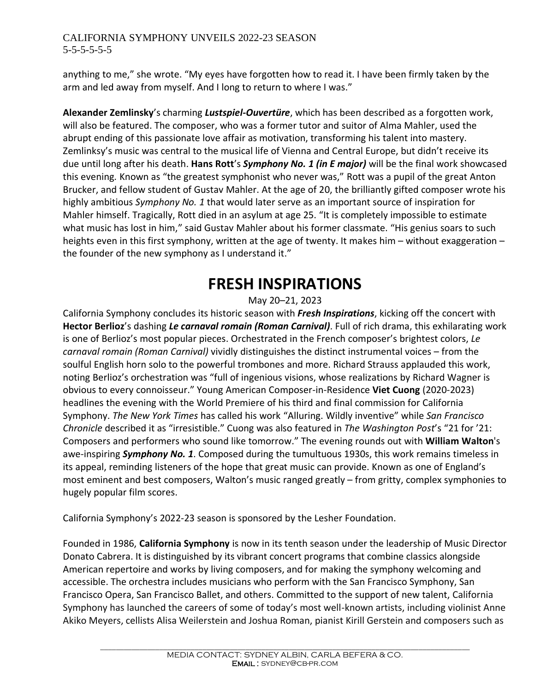#### CALIFORNIA SYMPHONY UNVEILS 2022-23 SEASON 5-5-5-5-5-5

anything to me," she wrote. "My eyes have forgotten how to read it. I have been firmly taken by the arm and led away from myself. And I long to return to where I was."

**Alexander Zemlinsky**'s charming *Lustspiel-Ouvertüre*, which has been described as a forgotten work, will also be featured. The composer, who was a former tutor and suitor of Alma Mahler, used the abrupt ending of this passionate love affair as motivation, transforming his talent into mastery. Zemlinksy's music was central to the musical life of Vienna and Central Europe, but didn't receive its due until long after his death. **Hans Rott**'s *Symphony No. 1 (in E major)* will be the final work showcased this evening*.* Known as "the greatest symphonist who never was," Rott was a pupil of the great Anton Brucker, and fellow student of Gustav Mahler. At the age of 20, the brilliantly gifted composer wrote his highly ambitious *Symphony No. 1* that would later serve as an important source of inspiration for Mahler himself. Tragically, Rott died in an asylum at age 25. "It is completely impossible to estimate what music has lost in him," said Gustav Mahler about his former classmate. "His genius soars to such heights even in this first symphony, written at the age of twenty. It makes him – without exaggeration – the founder of the new symphony as I understand it."

# **FRESH INSPIRATIONS**

#### May 20–21, 2023

California Symphony concludes its historic season with *Fresh Inspirations*, kicking off the concert with **Hector Berlioz**'s dashing *Le carnaval romain (Roman Carnival)*. Full of rich drama, this exhilarating work is one of Berlioz's most popular pieces. Orchestrated in the French composer's brightest colors, *Le carnaval romain (Roman Carnival)* vividly distinguishes the distinct instrumental voices – from the soulful English horn solo to the powerful trombones and more. Richard Strauss applauded this work, noting Berlioz's orchestration was "full of ingenious visions, whose realizations by Richard Wagner is obvious to every connoisseur." Young American Composer-in-Residence **Viet Cuong** (2020-2023) headlines the evening with the World Premiere of his third and final commission for California Symphony. *The New York Times* has called his work "Alluring. Wildly inventive" while *San Francisco Chronicle* described it as "irresistible." Cuong was also featured in *The Washington Post*'s "21 for '21: Composers and performers who sound like tomorrow." The evening rounds out with **William Walton**'s awe-inspiring *Symphony No. 1*. Composed during the tumultuous 1930s, this work remains timeless in its appeal, reminding listeners of the hope that great music can provide. Known as one of England's most eminent and best composers, Walton's music ranged greatly – from gritty, complex symphonies to hugely popular film scores.

California Symphony's 2022-23 season is sponsored by the Lesher Foundation.

Founded in 1986, **California Symphony** is now in its tenth season under the leadership of Music Director Donato Cabrera. It is distinguished by its vibrant concert programs that combine classics alongside American repertoire and works by living composers, and for making the symphony welcoming and accessible. The orchestra includes musicians who perform with the San Francisco Symphony, San Francisco Opera, San Francisco Ballet, and others. Committed to the support of new talent, California Symphony has launched the careers of some of today's most well-known artists, including violinist Anne Akiko Meyers, cellists Alisa Weilerstein and Joshua Roman, pianist Kirill Gerstein and composers such as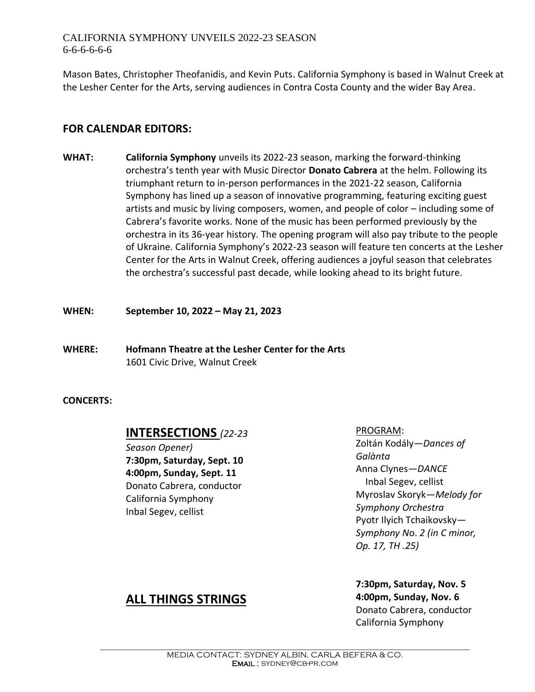#### CALIFORNIA SYMPHONY UNVEILS 2022-23 SEASON 6-6-6-6-6-6

Mason Bates, Christopher Theofanidis, and Kevin Puts. California Symphony is based in Walnut Creek at the Lesher Center for the Arts, serving audiences in Contra Costa County and the wider Bay Area.

#### **FOR CALENDAR EDITORS:**

- **WHAT: California Symphony** unveils its 2022-23 season, marking the forward-thinking orchestra's tenth year with Music Director **Donato Cabrera** at the helm. Following its triumphant return to in-person performances in the 2021-22 season, California Symphony has lined up a season of innovative programming, featuring exciting guest artists and music by living composers, women, and people of color – including some of Cabrera's favorite works. None of the music has been performed previously by the orchestra in its 36-year history. The opening program will also pay tribute to the people of Ukraine. California Symphony's 2022-23 season will feature ten concerts at the Lesher Center for the Arts in Walnut Creek, offering audiences a joyful season that celebrates the orchestra's successful past decade, while looking ahead to its bright future.
- **WHEN: September 10, 2022 – May 21, 2023**
- **WHERE: Hofmann Theatre at the Lesher Center for the Arts** 1601 Civic Drive, Walnut Creek

#### **CONCERTS:**

#### **INTERSECTIONS** *(22-23*

*Season Opener)* **7:30pm, Saturday, Sept. 10 4:00pm, Sunday, Sept. 11** Donato Cabrera, conductor California Symphony Inbal Segev, cellist

#### PROGRAM:

Zoltán Kodály—*Dances of Galànta* Anna Clynes—*DANCE* Inbal Segev, cellist Myroslav Skoryk—*Melody for Symphony Orchestra* Pyotr Ilyich Tchaikovsky— *Symphony N*o. *2 (in C minor, Op. 17, TH .25)*

#### **7:30pm, Saturday, Nov. 5 4:00pm, Sunday, Nov. 6** Donato Cabrera, conductor California Symphony

### **ALL THINGS STRINGS**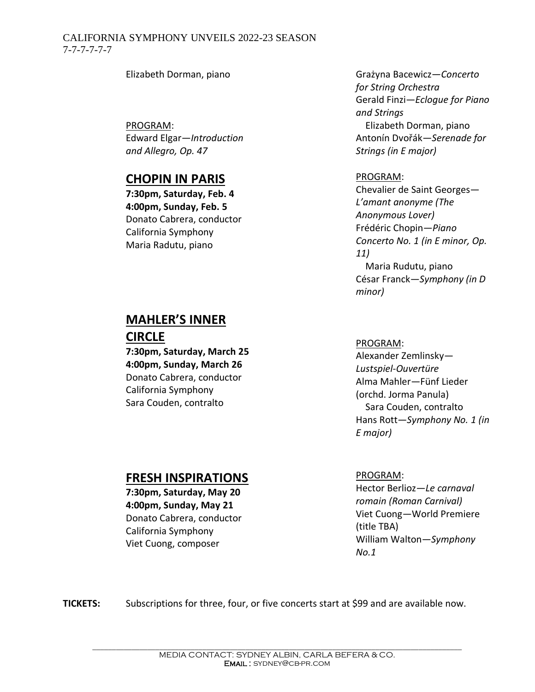#### CALIFORNIA SYMPHONY UNVEILS 2022-23 SEASON 7-7-7-7-7-7

Elizabeth Dorman, piano

PROGRAM: Edward Elgar—*Introduction and Allegro, Op. 47*

### **CHOPIN IN PARIS**

**7:30pm, Saturday, Feb. 4 4:00pm, Sunday, Feb. 5** Donato Cabrera, conductor California Symphony Maria Radutu, piano

### **MAHLER'S INNER CIRCLE**

**7:30pm, Saturday, March 25 4:00pm, Sunday, March 26** Donato Cabrera, conductor California Symphony Sara Couden, contralto

### **FRESH INSPIRATIONS**

**7:30pm, Saturday, May 20 4:00pm, Sunday, May 21** Donato Cabrera, conductor California Symphony Viet Cuong, composer

Grażyna Bacewicz—*Concerto for String Orchestra* Gerald Finzi—*Eclogue for Piano and Strings* Elizabeth Dorman, piano Antonín Dvořák—*Serenade for Strings (in E major)*

#### PROGRAM:

Chevalier de Saint Georges— *L'amant anonyme (The Anonymous Lover)* Frédéric Chopin—*Piano Concerto No. 1 (in E minor, Op. 11)* Maria Rudutu, piano César Franck—*Symphony (in D minor)*

#### PROGRAM:

Alexander Zemlinsky— *Lustspiel-Ouvertüre* Alma Mahler—Fünf Lieder (orchd. Jorma Panula) Sara Couden, contralto Hans Rott—*Symphony No. 1 (in E major)*

#### PROGRAM:

Hector Berlioz—*Le carnaval romain (Roman Carnival)* Viet Cuong—World Premiere (title TBA) William Walton—*Symphony No.1* 

**TICKETS:** Subscriptions for three, four, or five concerts start at \$99 and are available now.